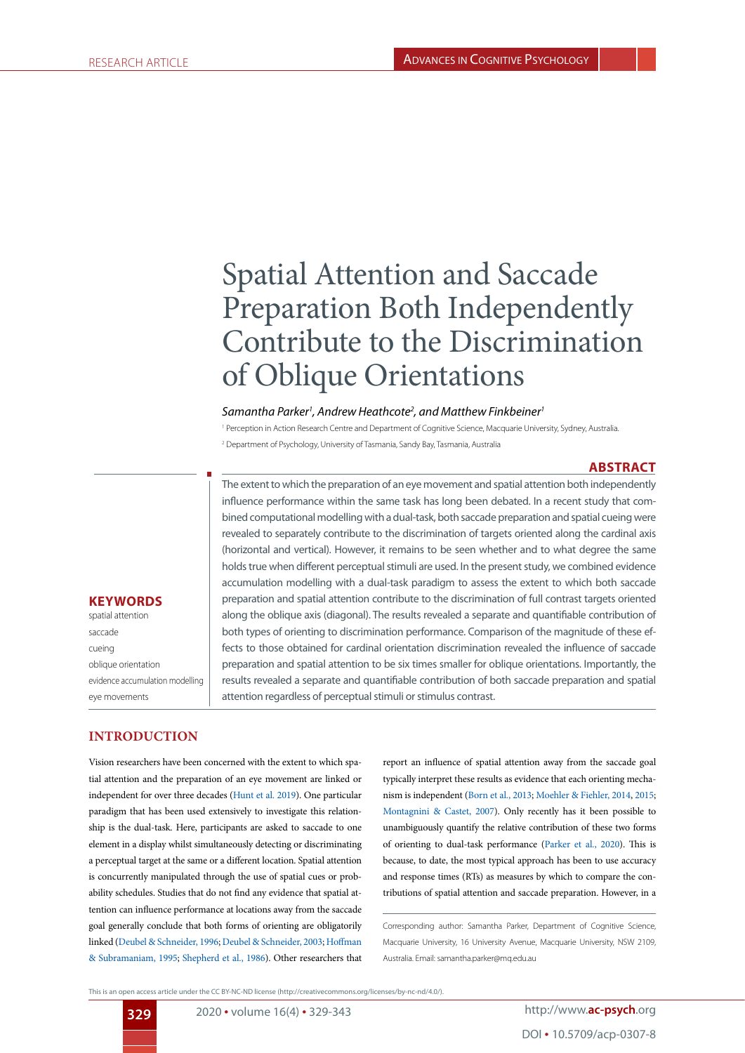# Spatial Attention and Saccade Preparation Both Independently Contribute to the Discrimination of Oblique Orientations

#### *Samantha Parker1 , Andrew Heathcote2 , and Matthew Finkbeiner1*

<sup>1</sup> Perception in Action Research Centre and Department of Cognitive Science, Macquarie University, Sydney, Australia 2 Department of Psychology, University of Tasmania, Sandy Bay, Tasmania, Australia

### **ABSTRACT**

The extent to which the preparation of an eye movement and spatial attention both independently influence performance within the same task has long been debated. In a recent study that combined computational modelling with a dual-task, both saccade preparation and spatial cueing were revealed to separately contribute to the discrimination of targets oriented along the cardinal axis (horizontal and vertical). However, it remains to be seen whether and to what degree the same holds true when different perceptual stimuli are used. In the present study, we combined evidence accumulation modelling with a dual-task paradigm to assess the extent to which both saccade preparation and spatial attention contribute to the discrimination of full contrast targets oriented along the oblique axis (diagonal). The results revealed a separate and quantifiable contribution of both types of orienting to discrimination performance. Comparison of the magnitude of these effects to those obtained for cardinal orientation discrimination revealed the influence of saccade preparation and spatial attention to be six times smaller for oblique orientations. Importantly, the results revealed a separate and quantifiable contribution of both saccade preparation and spatial attention regardless of perceptual stimuli or stimulus contrast.

## **KEYWORDS**

spatial attention saccade cueing oblique orientation evidence accumulation modelling eye movements

# **INTRODUCTION**

Vision researchers have been concerned with the extent to which spatial attention and the preparation of an eye movement are linked or independent for over three decades [\(Hunt et al. 2019\)](#page-10-0). One particular paradigm that has been used extensively to investigate this relationship is the dual-task. Here, participants are asked to saccade to one element in a display whilst simultaneously detecting or discriminating a perceptual target at the same or a different location. Spatial attention is concurrently manipulated through the use of spatial cues or probability schedules. Studies that do not find any evidence that spatial attention can influence performance at locations away from the saccade goal generally conclude that both forms of orienting are obligatorily linked ([Deubel & Schneider, 1996;](#page-9-0) [Deubel & Schneider, 2003;](#page-9-1) [Hoffman](#page-10-1) [& Subramaniam, 1995;](#page-10-1) [Shepherd et al., 1986\)](#page-11-0). Other researchers that

report an influence of spatial attention away from the saccade goal typically interpret these results as evidence that each orienting mechanism is independent [\(Born et al., 2013;](#page-9-2) [Moehler & Fiehler, 2014](#page-10-2), [2015;](#page-10-3) [Montagnini & Castet, 2007](#page-10-4)). Only recently has it been possible to unambiguously quantify the relative contribution of these two forms of orienting to dual-task performance [\(Parker et al., 2020](#page-10-5)). This is because, to date, the most typical approach has been to use accuracy and response times (RTs) as measures by which to compare the contributions of spatial attention and saccade preparation. However, in a

Corresponding author: Samantha Parker, Department of Cognitive Science, Macquarie University, 16 University Avenue, Macquarie University, NSW 2109, Australia. Email: samantha.parker@mq.edu.au

This is an open access article under the CC BY-NC-ND license (http://creativecommons.org/licenses/by-nc-nd/4.0/).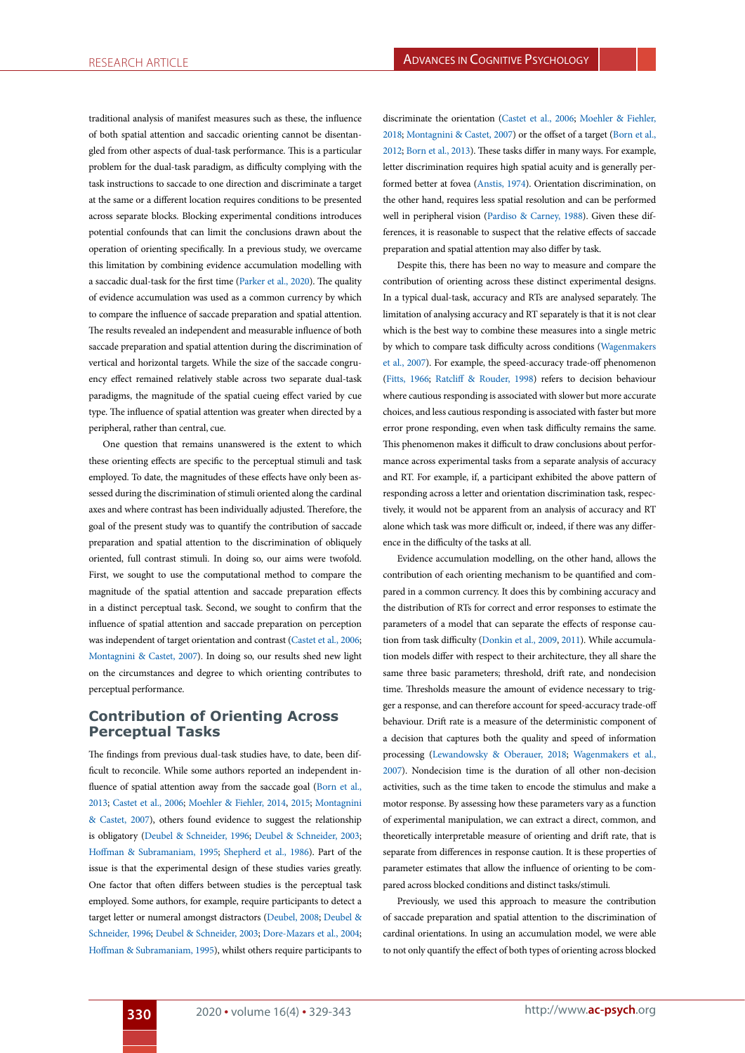traditional analysis of manifest measures such as these, the influence of both spatial attention and saccadic orienting cannot be disentangled from other aspects of dual-task performance. This is a particular problem for the dual-task paradigm, as difficulty complying with the task instructions to saccade to one direction and discriminate a target at the same or a different location requires conditions to be presented across separate blocks. Blocking experimental conditions introduces potential confounds that can limit the conclusions drawn about the operation of orienting specifically. In a previous study, we overcame this limitation by combining evidence accumulation modelling with a saccadic dual-task for the first time [\(Parker et al., 2020](#page-10-5)). The quality of evidence accumulation was used as a common currency by which to compare the influence of saccade preparation and spatial attention. The results revealed an independent and measurable influence of both saccade preparation and spatial attention during the discrimination of vertical and horizontal targets. While the size of the saccade congruency effect remained relatively stable across two separate dual-task paradigms, the magnitude of the spatial cueing effect varied by cue type. The influence of spatial attention was greater when directed by a peripheral, rather than central, cue.

One question that remains unanswered is the extent to which these orienting effects are specific to the perceptual stimuli and task employed. To date, the magnitudes of these effects have only been assessed during the discrimination of stimuli oriented along the cardinal axes and where contrast has been individually adjusted. Therefore, the goal of the present study was to quantify the contribution of saccade preparation and spatial attention to the discrimination of obliquely oriented, full contrast stimuli. In doing so, our aims were twofold. First, we sought to use the computational method to compare the magnitude of the spatial attention and saccade preparation effects in a distinct perceptual task. Second, we sought to confirm that the influence of spatial attention and saccade preparation on perception was independent of target orientation and contrast ([Castet et al., 2006](#page-9-3); [Montagnini & Castet, 2007\)](#page-10-4). In doing so, our results shed new light on the circumstances and degree to which orienting contributes to perceptual performance.

# **Contribution of Orienting Across Perceptual Tasks**

The findings from previous dual-task studies have, to date, been difficult to reconcile. While some authors reported an independent in-fluence of spatial attention away from the saccade goal [\(Born et al.,](#page-9-4) [2013;](#page-9-4) [Castet et al., 2006;](#page-9-3) [Moehler & Fiehler, 2014,](#page-10-2) [2015;](#page-10-3) [Montagnini](#page-10-4) [& Castet, 2007](#page-10-4)), others found evidence to suggest the relationship is obligatory ([Deubel & Schneider, 1996](#page-9-0); [Deubel & Schneider, 2003](#page-9-1); [Hoffman & Subramaniam, 1995](#page-10-1); [Shepherd et al., 1986\)](#page-11-0). Part of the issue is that the experimental design of these studies varies greatly. One factor that often differs between studies is the perceptual task employed. Some authors, for example, require participants to detect a target letter or numeral amongst distractors [\(Deubel, 2008;](#page-9-5) [Deubel &](#page-9-0) [Schneider, 1996;](#page-9-0) [Deubel & Schneider, 2003](#page-9-1); [Dore-Mazars et al., 2004](#page-9-6); [Hoffman & Subramaniam, 1995](#page-10-1)), whilst others require participants to

discriminate the orientation [\(Castet et al., 2006;](#page-9-3) [Moehler & Fiehler,](#page-10-6) [2018](#page-10-6); [Montagnini & Castet, 2007\)](#page-10-4) or the offset of a target [\(Born et al.,](#page-9-7) [2012](#page-9-7); [Born et al., 2013\)](#page-9-4). These tasks differ in many ways. For example, letter discrimination requires high spatial acuity and is generally performed better at fovea [\(Anstis, 1974](#page-9-8)). Orientation discrimination, on the other hand, requires less spatial resolution and can be performed well in peripheral vision ([Pardiso & Carney, 1988\)](#page-10-7). Given these differences, it is reasonable to suspect that the relative effects of saccade preparation and spatial attention may also differ by task.

Despite this, there has been no way to measure and compare the contribution of orienting across these distinct experimental designs. In a typical dual-task, accuracy and RTs are analysed separately. The limitation of analysing accuracy and RT separately is that it is not clear which is the best way to combine these measures into a single metric by which to compare task difficulty across conditions [\(Wagenmakers](#page-11-1) [et al., 2007](#page-11-1)). For example, the speed-accuracy trade-off phenomenon ([Fitts, 1966;](#page-10-8) [Ratcliff & Rouder, 1998](#page-10-9)) refers to decision behaviour where cautious responding is associated with slower but more accurate choices, and less cautious responding is associated with faster but more error prone responding, even when task difficulty remains the same. This phenomenon makes it difficult to draw conclusions about performance across experimental tasks from a separate analysis of accuracy and RT. For example, if, a participant exhibited the above pattern of responding across a letter and orientation discrimination task, respectively, it would not be apparent from an analysis of accuracy and RT alone which task was more difficult or, indeed, if there was any difference in the difficulty of the tasks at all.

Evidence accumulation modelling, on the other hand, allows the contribution of each orienting mechanism to be quantified and compared in a common currency. It does this by combining accuracy and the distribution of RTs for correct and error responses to estimate the parameters of a model that can separate the effects of response caution from task difficulty [\(Donkin et al., 2009](#page-9-9), [2011\)](#page-9-10). While accumulation models differ with respect to their architecture, they all share the same three basic parameters; threshold, drift rate, and nondecision time. Thresholds measure the amount of evidence necessary to trigger a response, and can therefore account for speed-accuracy trade-off behaviour. Drift rate is a measure of the deterministic component of a decision that captures both the quality and speed of information processing ([Lewandowsky & Oberauer, 2018;](#page-10-10) [Wagenmakers et al.,](#page-11-1) [2007](#page-11-1)). Nondecision time is the duration of all other non-decision activities, such as the time taken to encode the stimulus and make a motor response. By assessing how these parameters vary as a function of experimental manipulation, we can extract a direct, common, and theoretically interpretable measure of orienting and drift rate, that is separate from differences in response caution. It is these properties of parameter estimates that allow the influence of orienting to be compared across blocked conditions and distinct tasks/stimuli.

Previously, we used this approach to measure the contribution of saccade preparation and spatial attention to the discrimination of cardinal orientations. In using an accumulation model, we were able to not only quantify the effect of both types of orienting across blocked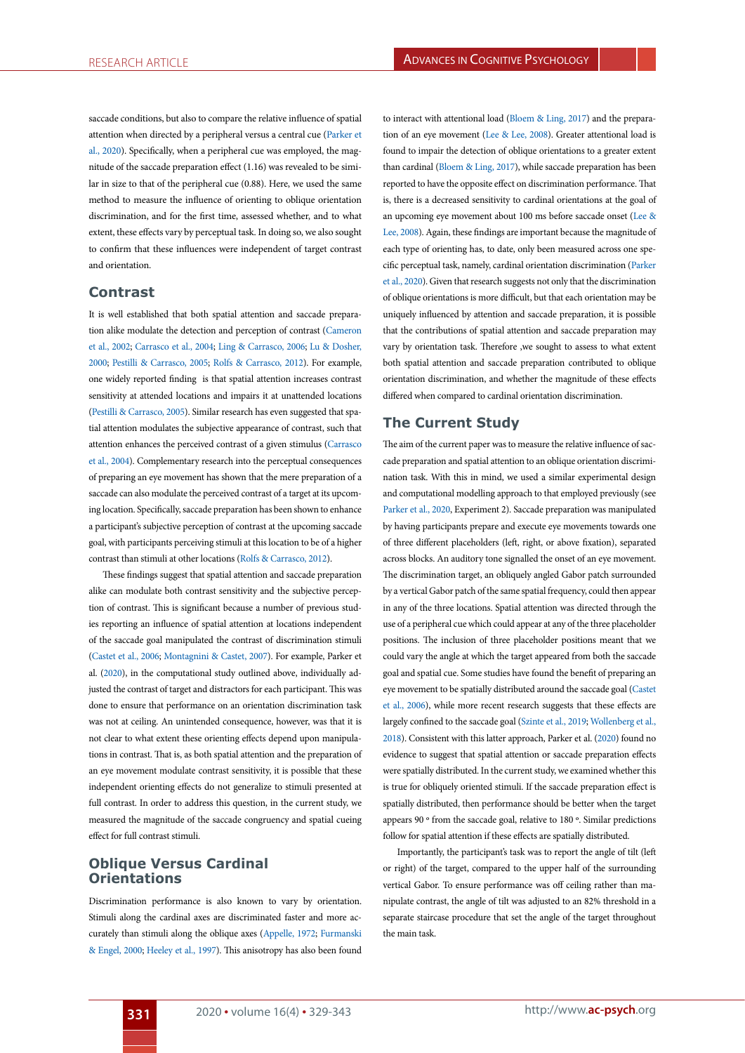saccade conditions, but also to compare the relative influence of spatial attention when directed by a peripheral versus a central cue [\(Parker et](#page-10-5) [al., 2020\)](#page-10-5). Specifically, when a peripheral cue was employed, the magnitude of the saccade preparation effect (1.16) was revealed to be similar in size to that of the peripheral cue (0.88). Here, we used the same method to measure the influence of orienting to oblique orientation discrimination, and for the first time, assessed whether, and to what extent, these effects vary by perceptual task. In doing so, we also sought to confirm that these influences were independent of target contrast and orientation.

# **Contrast**

It is well established that both spatial attention and saccade preparation alike modulate the detection and perception of contrast ([Cameron](#page-9-11) [et al., 2002](#page-9-11); [Carrasco et al., 2004;](#page-9-12) [Ling & Carrasco, 2006;](#page-10-11) [Lu & Dosher,](#page-10-12) [2000](#page-10-12); [Pestilli & Carrasco, 2005](#page-10-13); [Rolfs & Carrasco, 2012](#page-10-14)). For example, one widely reported finding is that spatial attention increases contrast sensitivity at attended locations and impairs it at unattended locations [\(Pestilli & Carrasco, 2005\)](#page-10-13). Similar research has even suggested that spatial attention modulates the subjective appearance of contrast, such that attention enhances the perceived contrast of a given stimulus ([Carrasco](#page-9-12) [et al., 2004](#page-9-12)). Complementary research into the perceptual consequences of preparing an eye movement has shown that the mere preparation of a saccade can also modulate the perceived contrast of a target at its upcoming location. Specifically, saccade preparation has been shown to enhance a participant's subjective perception of contrast at the upcoming saccade goal, with participants perceiving stimuli at this location to be of a higher contrast than stimuli at other locations ([Rolfs & Carrasco, 2012](#page-10-14)).

These findings suggest that spatial attention and saccade preparation alike can modulate both contrast sensitivity and the subjective perception of contrast. This is significant because a number of previous studies reporting an influence of spatial attention at locations independent of the saccade goal manipulated the contrast of discrimination stimuli [\(Castet et al., 2006](#page-9-3); [Montagnini & Castet, 2007\)](#page-10-4). For example, Parker et al. ([2020](#page-10-5)), in the computational study outlined above, individually adjusted the contrast of target and distractors for each participant. This was done to ensure that performance on an orientation discrimination task was not at ceiling. An unintended consequence, however, was that it is not clear to what extent these orienting effects depend upon manipulations in contrast. That is, as both spatial attention and the preparation of an eye movement modulate contrast sensitivity, it is possible that these independent orienting effects do not generalize to stimuli presented at full contrast. In order to address this question, in the current study, we measured the magnitude of the saccade congruency and spatial cueing effect for full contrast stimuli.

# **Oblique Versus Cardinal Orientations**

Discrimination performance is also known to vary by orientation. Stimuli along the cardinal axes are discriminated faster and more accurately than stimuli along the oblique axes [\(Appelle, 1972](#page-9-13); [Furmanski](#page-10-15) [& Engel, 2000;](#page-10-15) [Heeley et al., 1997\)](#page-10-16). This anisotropy has also been found

to interact with attentional load [\(Bloem & Ling, 2017\)](#page-9-14) and the preparation of an eye movement [\(Lee & Lee, 2008\)](#page-10-17). Greater attentional load is found to impair the detection of oblique orientations to a greater extent than cardinal ([Bloem & Ling, 2017](#page-9-14)), while saccade preparation has been reported to have the opposite effect on discrimination performance. That is, there is a decreased sensitivity to cardinal orientations at the goal of an upcoming eye movement about 100 ms before saccade onset [\(Lee &](#page-10-17) [Lee, 2008\)](#page-10-17). Again, these findings are important because the magnitude of each type of orienting has, to date, only been measured across one specific perceptual task, namely, cardinal orientation discrimination [\(Parker](#page-10-5) [et al., 2020\)](#page-10-5). Given that research suggests not only that the discrimination of oblique orientations is more difficult, but that each orientation may be uniquely influenced by attention and saccade preparation, it is possible that the contributions of spatial attention and saccade preparation may vary by orientation task. Therefore ,we sought to assess to what extent both spatial attention and saccade preparation contributed to oblique orientation discrimination, and whether the magnitude of these effects differed when compared to cardinal orientation discrimination.

# **The Current Study**

The aim of the current paper was to measure the relative influence of saccade preparation and spatial attention to an oblique orientation discrimination task. With this in mind, we used a similar experimental design and computational modelling approach to that employed previously (see [Parker et al., 2020,](#page-10-5) Experiment 2). Saccade preparation was manipulated by having participants prepare and execute eye movements towards one of three different placeholders (left, right, or above fixation), separated across blocks. An auditory tone signalled the onset of an eye movement. The discrimination target, an obliquely angled Gabor patch surrounded by a vertical Gabor patch of the same spatial frequency, could then appear in any of the three locations. Spatial attention was directed through the use of a peripheral cue which could appear at any of the three placeholder positions. The inclusion of three placeholder positions meant that we could vary the angle at which the target appeared from both the saccade goal and spatial cue. Some studies have found the benefit of preparing an eye movement to be spatially distributed around the saccade goal [\(Castet](#page-9-3) [et al., 2006\)](#page-9-3), while more recent research suggests that these effects are largely confined to the saccade goal ([Szinte et al., 2019;](#page-11-2) [Wollenberg et al.,](#page-11-3) [2018\)](#page-11-3). Consistent with this latter approach, Parker et al. ([2020](#page-10-5)) found no evidence to suggest that spatial attention or saccade preparation effects were spatially distributed. In the current study, we examined whether this is true for obliquely oriented stimuli. If the saccade preparation effect is spatially distributed, then performance should be better when the target appears 90 º from the saccade goal, relative to 180 º. Similar predictions follow for spatial attention if these effects are spatially distributed.

Importantly, the participant's task was to report the angle of tilt (left or right) of the target, compared to the upper half of the surrounding vertical Gabor. To ensure performance was off ceiling rather than manipulate contrast, the angle of tilt was adjusted to an 82% threshold in a separate staircase procedure that set the angle of the target throughout the main task.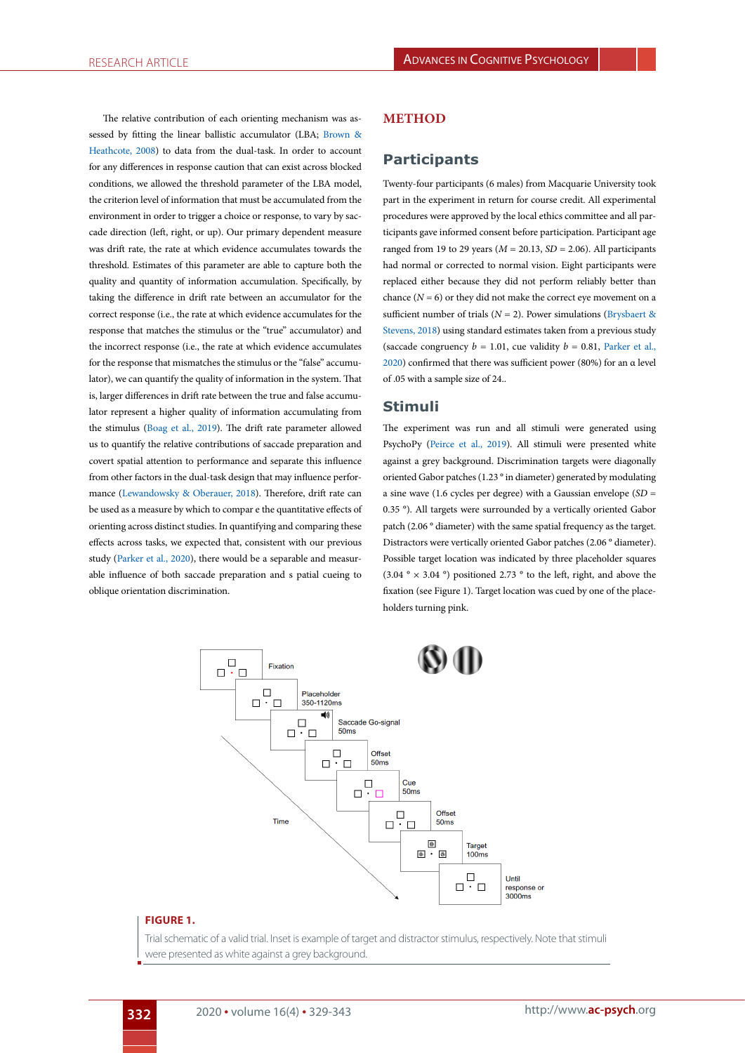The relative contribution of each orienting mechanism was assessed by fitting the linear ballistic accumulator (LBA; [Brown &](#page-9-15) [Heathcote, 2008](#page-9-15)) to data from the dual-task. In order to account for any differences in response caution that can exist across blocked conditions, we allowed the threshold parameter of the LBA model, the criterion level of information that must be accumulated from the environment in order to trigger a choice or response, to vary by saccade direction (left, right, or up). Our primary dependent measure was drift rate, the rate at which evidence accumulates towards the threshold. Estimates of this parameter are able to capture both the quality and quantity of information accumulation. Specifically, by taking the difference in drift rate between an accumulator for the correct response (i.e., the rate at which evidence accumulates for the response that matches the stimulus or the "true" accumulator) and the incorrect response (i.e., the rate at which evidence accumulates for the response that mismatches the stimulus or the "false" accumulator), we can quantify the quality of information in the system. That is, larger differences in drift rate between the true and false accumulator represent a higher quality of information accumulating from the stimulus [\(Boag et al., 2019](#page-9-16)). The drift rate parameter allowed us to quantify the relative contributions of saccade preparation and covert spatial attention to performance and separate this influence from other factors in the dual-task design that may influence performance ([Lewandowsky & Oberauer, 2018](#page-10-10)). Therefore, drift rate can be used as a measure by which to compar e the quantitative effects of orienting across distinct studies. In quantifying and comparing these effects across tasks, we expected that, consistent with our previous study ([Parker et al., 2020](#page-10-5)), there would be a separable and measurable influence of both saccade preparation and s patial cueing to oblique orientation discrimination.

### **METHOD**

# **Participants**

Twenty-four participants (6 males) from Macquarie University took part in the experiment in return for course credit. All experimental procedures were approved by the local ethics committee and all participants gave informed consent before participation. Participant age ranged from 19 to 29 years ( $M = 20.13$ ,  $SD = 2.06$ ). All participants had normal or corrected to normal vision. Eight participants were replaced either because they did not perform reliably better than chance  $(N = 6)$  or they did not make the correct eye movement on a sufficient number of trials ( $N = 2$ ). Power simulations [\(Brysbaert &](#page-9-17) [Stevens, 2018](#page-9-17)) using standard estimates taken from a previous study (saccade congruency  $b = 1.01$ , cue validity  $b = 0.81$ , [Parker et al.,](#page-10-5) [2020\)](#page-10-5) confirmed that there was sufficient power (80%) for an α level of .05 with a sample size of 24..

## **Stimuli**

The experiment was run and all stimuli were generated using PsychoPy ([Peirce et al., 2019\)](#page-10-18). All stimuli were presented white against a grey background. Discrimination targets were diagonally oriented Gabor patches (1.23 ° in diameter) generated by modulating a sine wave (1.6 cycles per degree) with a Gaussian envelope (*SD* = 0.35 °). All targets were surrounded by a vertically oriented Gabor patch (2.06 ° diameter) with the same spatial frequency as the target. Distractors were vertically oriented Gabor patches (2.06 ° diameter). Possible target location was indicated by three placeholder squares (3.04  $\degree$  × 3.04  $\degree$ ) positioned 2.73  $\degree$  to the left, right, and above the fixation (see Figure 1). Target location was cued by one of the placeholders turning pink.



#### **FIGURE 1.**

Trial schematic of a valid trial. Inset is example of target and distractor stimulus, respectively. Note that stimuli were presented as white against a grey background.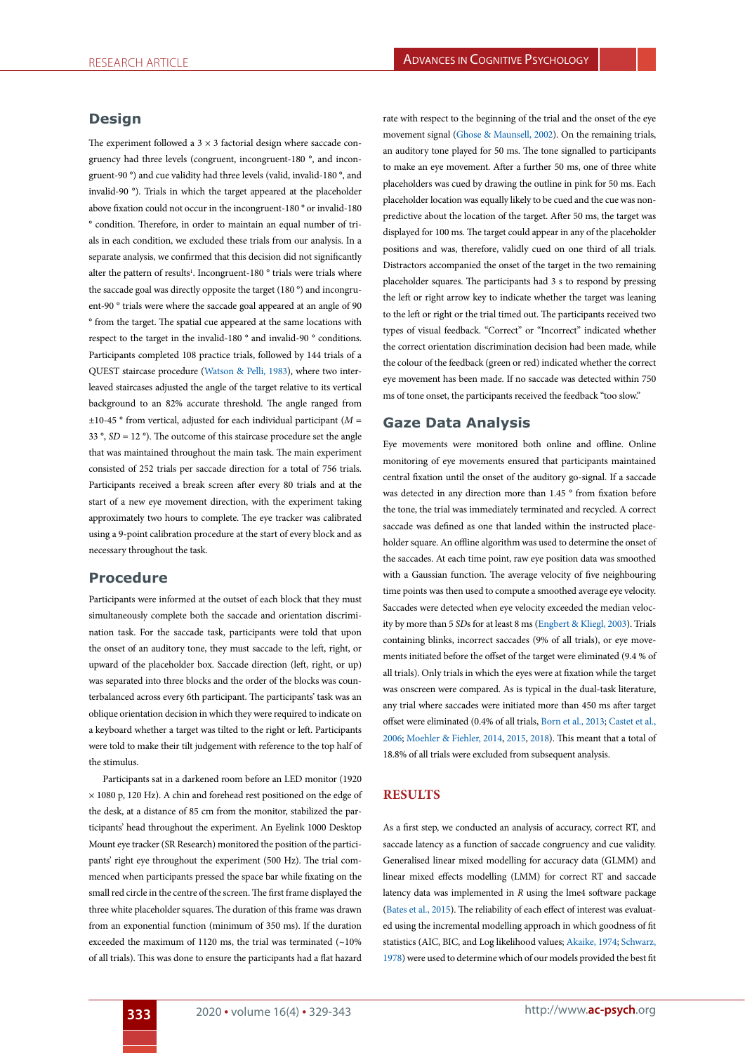# **Design**

The experiment followed a  $3 \times 3$  factorial design where saccade congruency had three levels (congruent, incongruent-180 °, and incongruent-90 °) and cue validity had three levels (valid, invalid-180 °, and invalid-90 °). Trials in which the target appeared at the placeholder above fixation could not occur in the incongruent-180 ° or invalid-180 ° condition. Therefore, in order to maintain an equal number of trials in each condition, we excluded these trials from our analysis. In a separate analysis, we confirmed that this decision did not significantly alter the pattern of results<sup>1</sup>. Incongruent-180<sup>°</sup> trials were trials where the saccade goal was directly opposite the target (180 °) and incongruent-90 ° trials were where the saccade goal appeared at an angle of 90 ° from the target. The spatial cue appeared at the same locations with respect to the target in the invalid-180 ° and invalid-90 ° conditions. Participants completed 108 practice trials, followed by 144 trials of a QUEST staircase procedure [\(Watson & Pelli, 1983\)](#page-11-4), where two interleaved staircases adjusted the angle of the target relative to its vertical background to an 82% accurate threshold. The angle ranged from  $\pm 10$ -45 ° from vertical, adjusted for each individual participant ( $M =$  $33^\circ$ ,  $SD = 12^\circ$ ). The outcome of this staircase procedure set the angle that was maintained throughout the main task. The main experiment consisted of 252 trials per saccade direction for a total of 756 trials. Participants received a break screen after every 80 trials and at the start of a new eye movement direction, with the experiment taking approximately two hours to complete. The eye tracker was calibrated using a 9-point calibration procedure at the start of every block and as necessary throughout the task.

## **Procedure**

Participants were informed at the outset of each block that they must simultaneously complete both the saccade and orientation discrimination task. For the saccade task, participants were told that upon the onset of an auditory tone, they must saccade to the left, right, or upward of the placeholder box. Saccade direction (left, right, or up) was separated into three blocks and the order of the blocks was counterbalanced across every 6th participant. The participants' task was an oblique orientation decision in which they were required to indicate on a keyboard whether a target was tilted to the right or left. Participants were told to make their tilt judgement with reference to the top half of the stimulus.

Participants sat in a darkened room before an LED monitor (1920 × 1080 p, 120 Hz). A chin and forehead rest positioned on the edge of the desk, at a distance of 85 cm from the monitor, stabilized the participants' head throughout the experiment. An Eyelink 1000 Desktop Mount eye tracker (SR Research) monitored the position of the participants' right eye throughout the experiment (500 Hz). The trial commenced when participants pressed the space bar while fixating on the small red circle in the centre of the screen. The first frame displayed the three white placeholder squares. The duration of this frame was drawn from an exponential function (minimum of 350 ms). If the duration exceeded the maximum of 1120 ms, the trial was terminated  $($  ~10% of all trials). This was done to ensure the participants had a flat hazard

rate with respect to the beginning of the trial and the onset of the eye movement signal ([Ghose & Maunsell, 2002\)](#page-10-19). On the remaining trials, an auditory tone played for 50 ms. The tone signalled to participants to make an eye movement. After a further 50 ms, one of three white placeholders was cued by drawing the outline in pink for 50 ms. Each placeholder location was equally likely to be cued and the cue was nonpredictive about the location of the target. After 50 ms, the target was displayed for 100 ms. The target could appear in any of the placeholder positions and was, therefore, validly cued on one third of all trials. Distractors accompanied the onset of the target in the two remaining placeholder squares. The participants had 3 s to respond by pressing the left or right arrow key to indicate whether the target was leaning to the left or right or the trial timed out. The participants received two types of visual feedback. "Correct" or "Incorrect" indicated whether the correct orientation discrimination decision had been made, while the colour of the feedback (green or red) indicated whether the correct eye movement has been made. If no saccade was detected within 750 ms of tone onset, the participants received the feedback "too slow."

## **Gaze Data Analysis**

Eye movements were monitored both online and offline. Online monitoring of eye movements ensured that participants maintained central fixation until the onset of the auditory go-signal. If a saccade was detected in any direction more than 1.45 ° from fixation before the tone, the trial was immediately terminated and recycled. A correct saccade was defined as one that landed within the instructed placeholder square. An offline algorithm was used to determine the onset of the saccades. At each time point, raw eye position data was smoothed with a Gaussian function. The average velocity of five neighbouring time points was then used to compute a smoothed average eye velocity. Saccades were detected when eye velocity exceeded the median velocity by more than 5 *SD*s for at least 8 ms [\(Engbert & Kliegl, 2003\)](#page-10-20). Trials containing blinks, incorrect saccades (9% of all trials), or eye movements initiated before the offset of the target were eliminated (9.4 % of all trials). Only trials in which the eyes were at fixation while the target was onscreen were compared. As is typical in the dual-task literature, any trial where saccades were initiated more than 450 ms after target offset were eliminated (0.4% of all trials, [Born et al., 2013](#page-9-4); [Castet et al.,](#page-9-3) [2006](#page-9-3); [Moehler & Fiehler, 2014](#page-10-2), [2015](#page-10-3), [2018\)](#page-10-6). This meant that a total of 18.8% of all trials were excluded from subsequent analysis.

## **RESULTS**

As a first step, we conducted an analysis of accuracy, correct RT, and saccade latency as a function of saccade congruency and cue validity. Generalised linear mixed modelling for accuracy data (GLMM) and linear mixed effects modelling (LMM) for correct RT and saccade latency data was implemented in *R* using the lme4 software package ([Bates et al., 2015](#page-9-18)). The reliability of each effect of interest was evaluated using the incremental modelling approach in which goodness of fit statistics (AIC, BIC, and Log likelihood values; [Akaike, 1974](#page-9-19); [Schwarz,](#page-11-5) [1978](#page-11-5)) were used to determine which of our models provided the best fit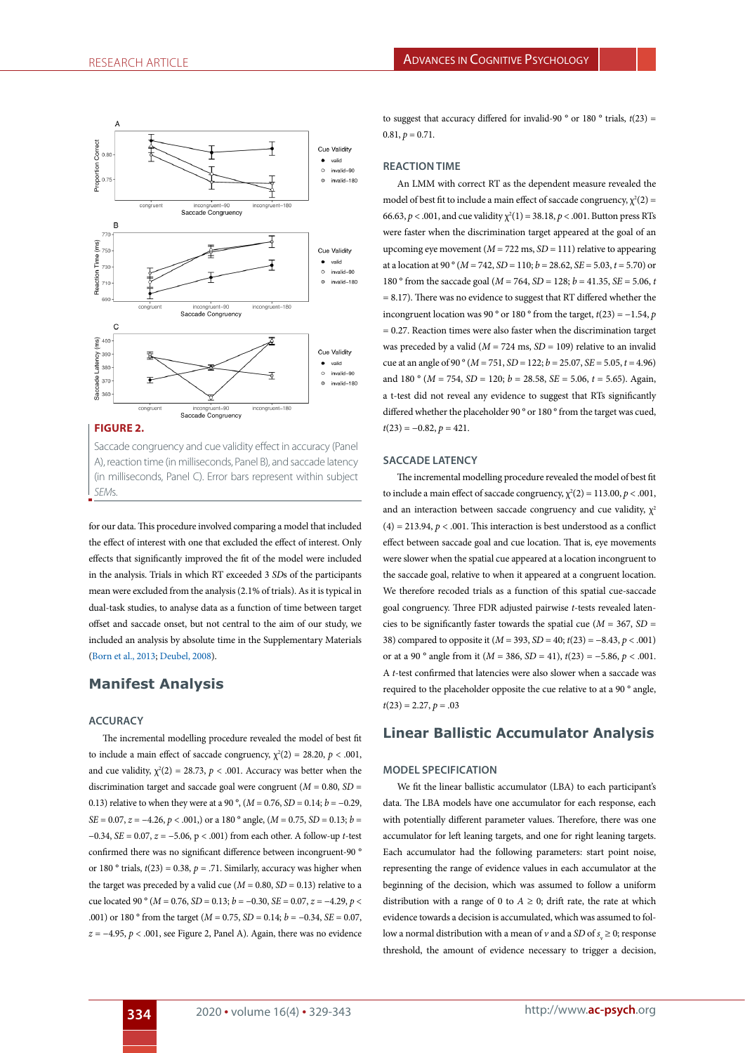

Saccade congruency and cue validity effect in accuracy (Panel A), reaction time (in milliseconds, Panel B), and saccade latency (in milliseconds, Panel C). Error bars represent within subject *SEM*s.

for our data. This procedure involved comparing a model that included the effect of interest with one that excluded the effect of interest. Only effects that significantly improved the fit of the model were included in the analysis. Trials in which RT exceeded 3 *SD*s of the participants mean were excluded from the analysis (2.1% of trials). As it is typical in dual-task studies, to analyse data as a function of time between target offset and saccade onset, but not central to the aim of our study, we included an analysis by absolute time in the Supplementary Materials ([Born et al., 2013](#page-9-4); [Deubel, 2008\)](#page-9-5).

# **Manifest Analysis**

## **ACCURACY**

The incremental modelling procedure revealed the model of best fit to include a main effect of saccade congruency,  $\chi^2(2) = 28.20$ ,  $p < .001$ , and cue validity,  $\chi^2(2) = 28.73$ ,  $p < .001$ . Accuracy was better when the discrimination target and saccade goal were congruent ( $M = 0.80$ ,  $SD =$ 0.13) relative to when they were at a 90 $^{\circ}$ , (*M* = 0.76, *SD* = 0.14; *b* = -0.29, *SE* = 0.07, *z* = −4.26, *p* < .001,) or a 180 ° angle, (*M* = 0.75, *SD* = 0.13; *b* = −0.34, *SE* = 0.07, *z* = −5.06, p < .001) from each other. A follow-up *t*-test confirmed there was no significant difference between incongruent-90 ° or 180 ° trials,  $t(23) = 0.38$ ,  $p = .71$ . Similarly, accuracy was higher when the target was preceded by a valid cue ( $M = 0.80$ ,  $SD = 0.13$ ) relative to a cue located 90 ° ( $M = 0.76$ ,  $SD = 0.13$ ;  $b = -0.30$ ,  $SE = 0.07$ ,  $z = -4.29$ ,  $p <$ .001) or 180 ° from the target (*M* = 0.75, *SD* = 0.14; *b* = −0.34, *SE* = 0.07,  $z = -4.95$ ,  $p < .001$ , see Figure 2, Panel A). Again, there was no evidence

to suggest that accuracy differed for invalid-90 ° or 180 ° trials, *t*(23) =  $0.81, p = 0.71.$ 

#### **REACTION TIME**

An LMM with correct RT as the dependent measure revealed the model of best fit to include a main effect of saccade congruency,  $\chi^2(2)$  = 66.63,  $p < .001$ , and cue validity  $\chi^2(1) = 38.18$ ,  $p < .001$ . Button press RTs were faster when the discrimination target appeared at the goal of an upcoming eye movement  $(M = 722 \text{ ms}, SD = 111)$  relative to appearing at a location at 90 ° (*M* = 742, *SD* = 110; *b* = 28.62, *SE* = 5.03, *t* = 5.70) or 180 ° from the saccade goal (*M* = 764, *SD* = 128; *b* = 41.35, *SE* = 5.06, *t*   $= 8.17$ ). There was no evidence to suggest that RT differed whether the incongruent location was 90 ° or 180 ° from the target,  $t(23) = -1.54$ , *p*  $= 0.27$ . Reaction times were also faster when the discrimination target was preceded by a valid (*M* = 724 ms, *SD* = 109) relative to an invalid cue at an angle of 90 ° (*M* = 751, *SD* = 122; *b* = 25.07, *SE* = 5.05, *t* = 4.96) and 180 ° ( $M = 754$ ,  $SD = 120$ ;  $b = 28.58$ ,  $SE = 5.06$ ,  $t = 5.65$ ). Again, a t-test did not reveal any evidence to suggest that RTs significantly differed whether the placeholder 90 ° or 180 ° from the target was cued,  $t(23) = -0.82, p = 421.$ 

#### **SACCADE LATENCY**

The incremental modelling procedure revealed the model of best fit to include a main effect of saccade congruency,  $\chi^2(2) = 113.00, p < .001$ , and an interaction between saccade congruency and cue validity,  $\chi^2$  $(4) = 213.94$ ,  $p < .001$ . This interaction is best understood as a conflict effect between saccade goal and cue location. That is, eye movements were slower when the spatial cue appeared at a location incongruent to the saccade goal, relative to when it appeared at a congruent location. We therefore recoded trials as a function of this spatial cue-saccade goal congruency. Three FDR adjusted pairwise *t*-tests revealed latencies to be significantly faster towards the spatial cue ( $M = 367$ ,  $SD =$ 38) compared to opposite it (*M* = 393, *SD* = 40; *t*(23) = −8.43, *p* < .001) or at a 90 ° angle from it (*M* = 386, *SD* = 41), *t*(23) = −5.86, *p* < .001. A *t*-test confirmed that latencies were also slower when a saccade was required to the placeholder opposite the cue relative to at a 90 ° angle,  $t(23) = 2.27, p = .03$ 

# **Linear Ballistic Accumulator Analysis**

#### **MODEL SPECIFICATION**

We fit the linear ballistic accumulator (LBA) to each participant's data. The LBA models have one accumulator for each response, each with potentially different parameter values. Therefore, there was one accumulator for left leaning targets, and one for right leaning targets. Each accumulator had the following parameters: start point noise, representing the range of evidence values in each accumulator at the beginning of the decision, which was assumed to follow a uniform distribution with a range of 0 to  $A \ge 0$ ; drift rate, the rate at which evidence towards a decision is accumulated, which was assumed to follow a normal distribution with a mean of  $\nu$  and a *SD* of  $s_v \ge 0$ ; response threshold, the amount of evidence necessary to trigger a decision,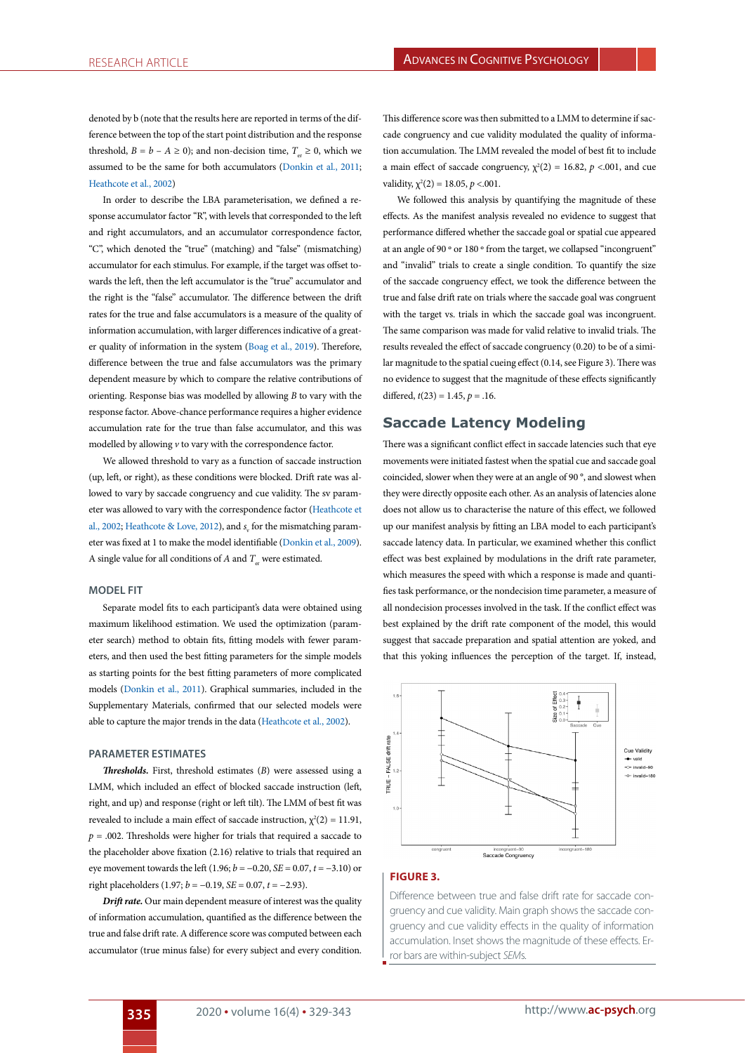denoted by b (note that the results here are reported in terms of the difference between the top of the start point distribution and the response threshold,  $B = b - A \ge 0$ ); and non-decision time,  $T \ge 0$ , which we assumed to be the same for both accumulators ([Donkin et al., 2011](#page-9-10); [Heathcote et al., 2002\)](#page-10-21)

In order to describe the LBA parameterisation, we defined a response accumulator factor "R", with levels that corresponded to the left and right accumulators, and an accumulator correspondence factor, "C", which denoted the "true" (matching) and "false" (mismatching) accumulator for each stimulus. For example, if the target was offset towards the left, then the left accumulator is the "true" accumulator and the right is the "false" accumulator. The difference between the drift rates for the true and false accumulators is a measure of the quality of information accumulation, with larger differences indicative of a greater quality of information in the system [\(Boag et al., 2019\)](#page-9-16). Therefore, difference between the true and false accumulators was the primary dependent measure by which to compare the relative contributions of orienting. Response bias was modelled by allowing *B* to vary with the response factor. Above-chance performance requires a higher evidence accumulation rate for the true than false accumulator, and this was modelled by allowing *v* to vary with the correspondence factor.

We allowed threshold to vary as a function of saccade instruction (up, left, or right), as these conditions were blocked. Drift rate was allowed to vary by saccade congruency and cue validity. The sv parameter was allowed to vary with the correspondence factor ([Heathcote et](#page-10-21) [al., 2002;](#page-10-21) [Heathcote & Love, 2012\)](#page-10-22), and  $s_{\rm v}$  for the mismatching parameter was fixed at 1 to make the model identifiable ([Donkin et al., 2009\)](#page-9-9). A single value for all conditions of  $A$  and  $T_{\infty}$  were estimated.

#### **MODEL FIT**

Separate model fits to each participant's data were obtained using maximum likelihood estimation. We used the optimization (parameter search) method to obtain fits, fitting models with fewer parameters, and then used the best fitting parameters for the simple models as starting points for the best fitting parameters of more complicated models [\(Donkin et al., 2011\)](#page-9-10). Graphical summaries, included in the Supplementary Materials, confirmed that our selected models were able to capture the major trends in the data [\(Heathcote et al., 2002\)](#page-10-21).

#### **PARAMETER ESTIMATES**

*Thresholds.* First, threshold estimates (*B*) were assessed using a LMM, which included an effect of blocked saccade instruction (left, right, and up) and response (right or left tilt). The LMM of best fit was revealed to include a main effect of saccade instruction,  $\chi^2(2) = 11.91$ ,  $p = .002$ . Thresholds were higher for trials that required a saccade to the placeholder above fixation (2.16) relative to trials that required an eye movement towards the left (1.96; *b* = −0.20, *SE* = 0.07, *t* = −3.10) or right placeholders (1.97; *b* = −0.19, *SE* = 0.07, *t* = −2.93).

*Drift rate.* Our main dependent measure of interest was the quality of information accumulation, quantified as the difference between the true and false drift rate. A difference score was computed between each accumulator (true minus false) for every subject and every condition.

This difference score was then submitted to a LMM to determine if saccade congruency and cue validity modulated the quality of information accumulation. The LMM revealed the model of best fit to include a main effect of saccade congruency,  $\chi^2(2) = 16.82$ ,  $p < .001$ , and cue validity,  $\chi^2(2) = 18.05$ ,  $p < .001$ .

We followed this analysis by quantifying the magnitude of these effects. As the manifest analysis revealed no evidence to suggest that performance differed whether the saccade goal or spatial cue appeared at an angle of 90 º or 180 º from the target, we collapsed "incongruent" and "invalid" trials to create a single condition. To quantify the size of the saccade congruency effect, we took the difference between the true and false drift rate on trials where the saccade goal was congruent with the target vs. trials in which the saccade goal was incongruent. The same comparison was made for valid relative to invalid trials. The results revealed the effect of saccade congruency (0.20) to be of a similar magnitude to the spatial cueing effect (0.14, see Figure 3). There was no evidence to suggest that the magnitude of these effects significantly differed,  $t(23) = 1.45$ ,  $p = .16$ .

## **Saccade Latency Modeling**

There was a significant conflict effect in saccade latencies such that eye movements were initiated fastest when the spatial cue and saccade goal coincided, slower when they were at an angle of 90 °, and slowest when they were directly opposite each other. As an analysis of latencies alone does not allow us to characterise the nature of this effect, we followed up our manifest analysis by fitting an LBA model to each participant's saccade latency data. In particular, we examined whether this conflict effect was best explained by modulations in the drift rate parameter, which measures the speed with which a response is made and quantifies task performance, or the nondecision time parameter, a measure of all nondecision processes involved in the task. If the conflict effect was best explained by the drift rate component of the model, this would suggest that saccade preparation and spatial attention are yoked, and that this yoking influences the perception of the target. If, instead,



## **FIGURE 3.**

Difference between true and false drift rate for saccade congruency and cue validity. Main graph shows the saccade congruency and cue validity effects in the quality of information accumulation. Inset shows the magnitude of these effects. Error bars are within-subject *SEM*s.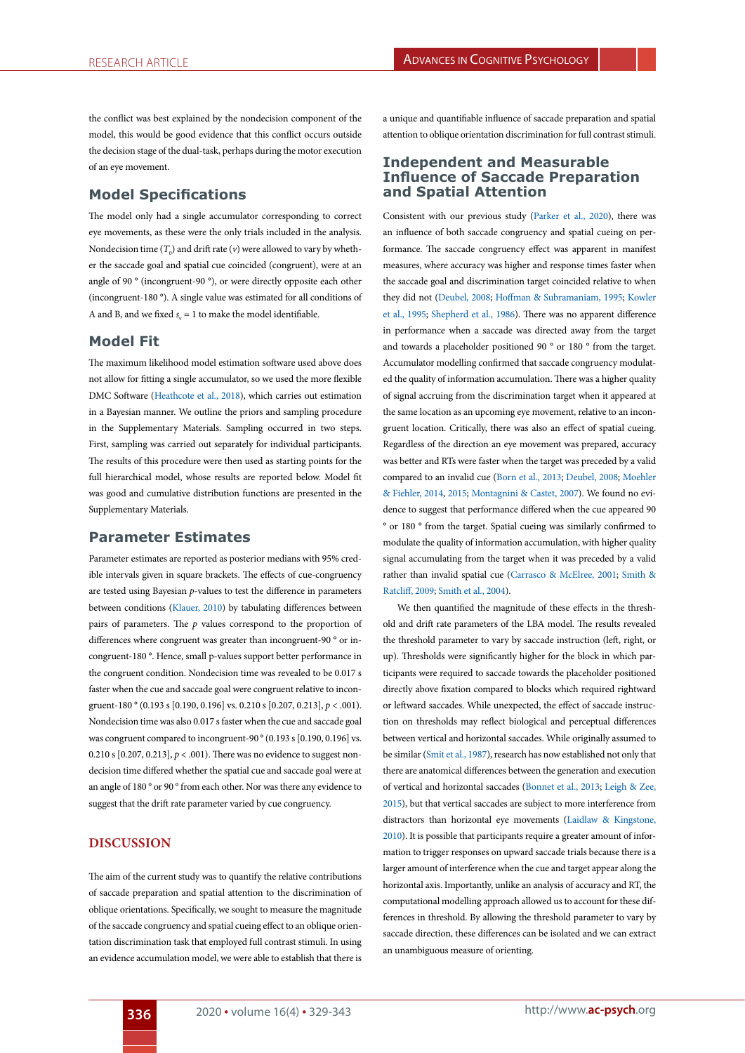the conflict was best explained by the nondecision component of the model, this would be good evidence that this conflict occurs outside the decision stage of the dual-task, perhaps during the motor execution of an eye movement.

# **Model Specifications**

The model only had a single accumulator corresponding to correct eye movements, as these were the only trials included in the analysis. Nondecision time  $(T_0)$  and drift rate  $(v)$  were allowed to vary by whether the saccade goal and spatial cue coincided (congruent), were at an angle of 90 ° (incongruent-90 °), or were directly opposite each other (incongruent-180 °). A single value was estimated for all conditions of A and B, and we fixed  $s_v = 1$  to make the model identifiable.

## **Model Fit**

The maximum likelihood model estimation software used above does not allow for fitting a single accumulator, so we used the more flexible DMC Software [\(Heathcote et al., 2018\)](#page-10-23), which carries out estimation in a Bayesian manner. We outline the priors and sampling procedure in the Supplementary Materials. Sampling occurred in two steps. First, sampling was carried out separately for individual participants. The results of this procedure were then used as starting points for the full hierarchical model, whose results are reported below. Model fit was good and cumulative distribution functions are presented in the Supplementary Materials.

## **Parameter Estimates**

Parameter estimates are reported as posterior medians with 95% credible intervals given in square brackets. The effects of cue-congruency are tested using Bayesian *p*-values to test the difference in parameters between conditions ([Klauer, 2010\)](#page-10-24) by tabulating differences between pairs of parameters. The *p* values correspond to the proportion of differences where congruent was greater than incongruent-90 ° or incongruent-180 °. Hence, small p-values support better performance in the congruent condition. Nondecision time was revealed to be 0.017 s faster when the cue and saccade goal were congruent relative to incongruent-180 ° (0.193 s [0.190, 0.196] vs. 0.210 s [0.207, 0.213], *p* < .001). Nondecision time was also 0.017 s faster when the cue and saccade goal was congruent compared to incongruent-90  $^{\circ}$  (0.193 s [0.190, 0.196] vs. 0.210 s  $[0.207, 0.213], p < .001$ ). There was no evidence to suggest nondecision time differed whether the spatial cue and saccade goal were at an angle of 180 ° or 90 ° from each other. Nor was there any evidence to suggest that the drift rate parameter varied by cue congruency.

## **DISCUSSION**

The aim of the current study was to quantify the relative contributions of saccade preparation and spatial attention to the discrimination of oblique orientations. Specifically, we sought to measure the magnitude of the saccade congruency and spatial cueing effect to an oblique orientation discrimination task that employed full contrast stimuli. In using an evidence accumulation model, we were able to establish that there is

a unique and quantifiable influence of saccade preparation and spatial attention to oblique orientation discrimination for full contrast stimuli.

## **Independent and Measurable Influence of Saccade Preparation and Spatial Attention**

Consistent with our previous study ([Parker et al., 2020\)](#page-10-5), there was an influence of both saccade congruency and spatial cueing on performance. The saccade congruency effect was apparent in manifest measures, where accuracy was higher and response times faster when the saccade goal and discrimination target coincided relative to when they did not [\(Deubel, 2008;](#page-9-5) [Hoffman & Subramaniam, 1995;](#page-10-1) [Kowler](#page-10-25) [et al., 1995;](#page-10-25) [Shepherd et al., 1986](#page-11-0)). There was no apparent difference in performance when a saccade was directed away from the target and towards a placeholder positioned 90 ° or 180 ° from the target. Accumulator modelling confirmed that saccade congruency modulated the quality of information accumulation. There was a higher quality of signal accruing from the discrimination target when it appeared at the same location as an upcoming eye movement, relative to an incongruent location. Critically, there was also an effect of spatial cueing. Regardless of the direction an eye movement was prepared, accuracy was better and RTs were faster when the target was preceded by a valid compared to an invalid cue ([Born et al., 2013;](#page-9-4) [Deubel, 2008;](#page-9-5) [Moehler](#page-10-2) [& Fiehler, 2014](#page-10-2), [2015](#page-10-3); [Montagnini & Castet, 2007](#page-10-4)). We found no evidence to suggest that performance differed when the cue appeared 90 ° or 180 ° from the target. Spatial cueing was similarly confirmed to modulate the quality of information accumulation, with higher quality signal accumulating from the target when it was preceded by a valid rather than invalid spatial cue [\(Carrasco & McElree, 2001;](#page-9-20) [Smith &](#page-11-6) [Ratcliff, 2009;](#page-11-6) [Smith et al., 2004\)](#page-11-7).

We then quantified the magnitude of these effects in the threshold and drift rate parameters of the LBA model. The results revealed the threshold parameter to vary by saccade instruction (left, right, or up). Thresholds were significantly higher for the block in which participants were required to saccade towards the placeholder positioned directly above fixation compared to blocks which required rightward or leftward saccades. While unexpected, the effect of saccade instruction on thresholds may reflect biological and perceptual differences between vertical and horizontal saccades. While originally assumed to be similar ([Smit et al., 1987](#page-11-8)), research has now established not only that there are anatomical differences between the generation and execution of vertical and horizontal saccades [\(Bonnet et al., 2013](#page-9-21); [Leigh & Zee,](#page-10-26) [2015](#page-10-26)), but that vertical saccades are subject to more interference from distractors than horizontal eye movements [\(Laidlaw & Kingstone,](#page-10-27) [2010](#page-10-27)). It is possible that participants require a greater amount of information to trigger responses on upward saccade trials because there is a larger amount of interference when the cue and target appear along the horizontal axis. Importantly, unlike an analysis of accuracy and RT, the computational modelling approach allowed us to account for these differences in threshold. By allowing the threshold parameter to vary by saccade direction, these differences can be isolated and we can extract an unambiguous measure of orienting.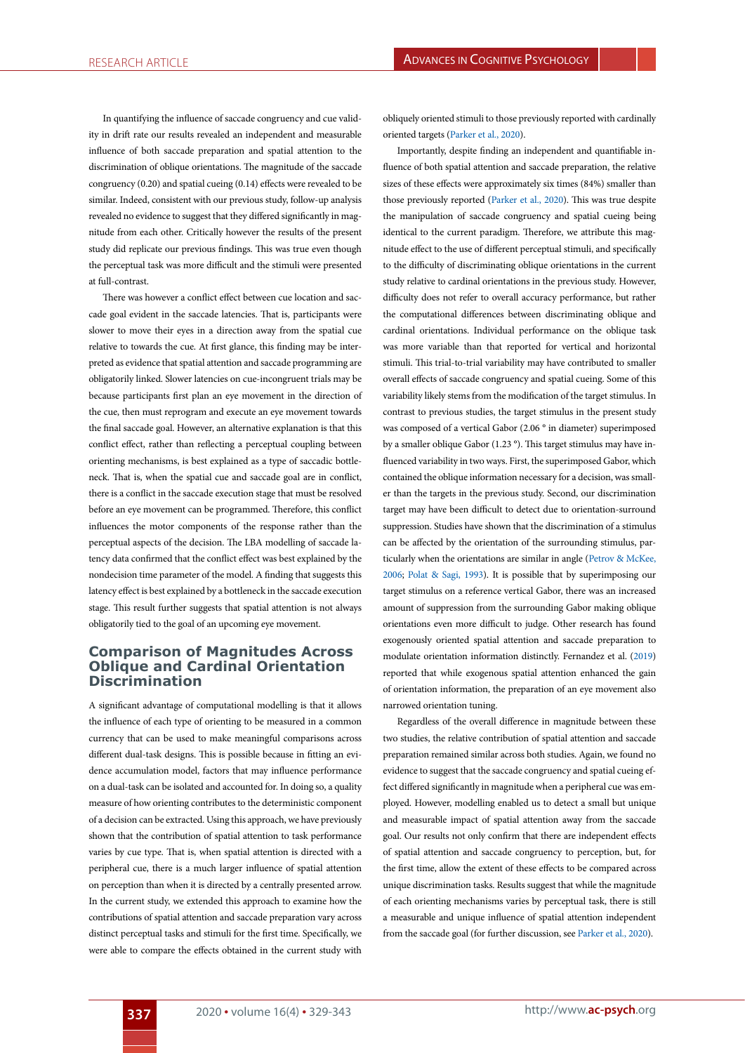In quantifying the influence of saccade congruency and cue validity in drift rate our results revealed an independent and measurable influence of both saccade preparation and spatial attention to the discrimination of oblique orientations. The magnitude of the saccade congruency (0.20) and spatial cueing (0.14) effects were revealed to be similar. Indeed, consistent with our previous study, follow-up analysis revealed no evidence to suggest that they differed significantly in magnitude from each other. Critically however the results of the present study did replicate our previous findings. This was true even though the perceptual task was more difficult and the stimuli were presented at full-contrast.

There was however a conflict effect between cue location and saccade goal evident in the saccade latencies. That is, participants were slower to move their eyes in a direction away from the spatial cue relative to towards the cue. At first glance, this finding may be interpreted as evidence that spatial attention and saccade programming are obligatorily linked. Slower latencies on cue-incongruent trials may be because participants first plan an eye movement in the direction of the cue, then must reprogram and execute an eye movement towards the final saccade goal. However, an alternative explanation is that this conflict effect, rather than reflecting a perceptual coupling between orienting mechanisms, is best explained as a type of saccadic bottleneck. That is, when the spatial cue and saccade goal are in conflict, there is a conflict in the saccade execution stage that must be resolved before an eye movement can be programmed. Therefore, this conflict influences the motor components of the response rather than the perceptual aspects of the decision. The LBA modelling of saccade latency data confirmed that the conflict effect was best explained by the nondecision time parameter of the model. A finding that suggests this latency effect is best explained by a bottleneck in the saccade execution stage. This result further suggests that spatial attention is not always obligatorily tied to the goal of an upcoming eye movement.

# **Comparison of Magnitudes Across Oblique and Cardinal Orientation Discrimination**

A significant advantage of computational modelling is that it allows the influence of each type of orienting to be measured in a common currency that can be used to make meaningful comparisons across different dual-task designs. This is possible because in fitting an evidence accumulation model, factors that may influence performance on a dual-task can be isolated and accounted for. In doing so, a quality measure of how orienting contributes to the deterministic component of a decision can be extracted. Using this approach, we have previously shown that the contribution of spatial attention to task performance varies by cue type. That is, when spatial attention is directed with a peripheral cue, there is a much larger influence of spatial attention on perception than when it is directed by a centrally presented arrow. In the current study, we extended this approach to examine how the contributions of spatial attention and saccade preparation vary across distinct perceptual tasks and stimuli for the first time. Specifically, we were able to compare the effects obtained in the current study with

obliquely oriented stimuli to those previously reported with cardinally oriented targets ([Parker et al., 2020\)](#page-10-5).

Importantly, despite finding an independent and quantifiable influence of both spatial attention and saccade preparation, the relative sizes of these effects were approximately six times (84%) smaller than those previously reported ([Parker et al., 2020](#page-10-5)). This was true despite the manipulation of saccade congruency and spatial cueing being identical to the current paradigm. Therefore, we attribute this magnitude effect to the use of different perceptual stimuli, and specifically to the difficulty of discriminating oblique orientations in the current study relative to cardinal orientations in the previous study. However, difficulty does not refer to overall accuracy performance, but rather the computational differences between discriminating oblique and cardinal orientations. Individual performance on the oblique task was more variable than that reported for vertical and horizontal stimuli. This trial-to-trial variability may have contributed to smaller overall effects of saccade congruency and spatial cueing. Some of this variability likely stems from the modification of the target stimulus. In contrast to previous studies, the target stimulus in the present study was composed of a vertical Gabor (2.06 ° in diameter) superimposed by a smaller oblique Gabor (1.23 °). This target stimulus may have influenced variability in two ways. First, the superimposed Gabor, which contained the oblique information necessary for a decision, was smaller than the targets in the previous study. Second, our discrimination target may have been difficult to detect due to orientation-surround suppression. Studies have shown that the discrimination of a stimulus can be affected by the orientation of the surrounding stimulus, particularly when the orientations are similar in angle [\(Petrov & McKee,](#page-10-28) [2006](#page-10-28); [Polat & Sagi, 1993](#page-10-29)). It is possible that by superimposing our target stimulus on a reference vertical Gabor, there was an increased amount of suppression from the surrounding Gabor making oblique orientations even more difficult to judge. Other research has found exogenously oriented spatial attention and saccade preparation to modulate orientation information distinctly. Fernandez et al. [\(2019\)](#page-10-30) reported that while exogenous spatial attention enhanced the gain of orientation information, the preparation of an eye movement also narrowed orientation tuning.

Regardless of the overall difference in magnitude between these two studies, the relative contribution of spatial attention and saccade preparation remained similar across both studies. Again, we found no evidence to suggest that the saccade congruency and spatial cueing effect differed significantly in magnitude when a peripheral cue was employed. However, modelling enabled us to detect a small but unique and measurable impact of spatial attention away from the saccade goal. Our results not only confirm that there are independent effects of spatial attention and saccade congruency to perception, but, for the first time, allow the extent of these effects to be compared across unique discrimination tasks. Results suggest that while the magnitude of each orienting mechanisms varies by perceptual task, there is still a measurable and unique influence of spatial attention independent from the saccade goal (for further discussion, see [Parker et al., 2020\)](#page-10-5).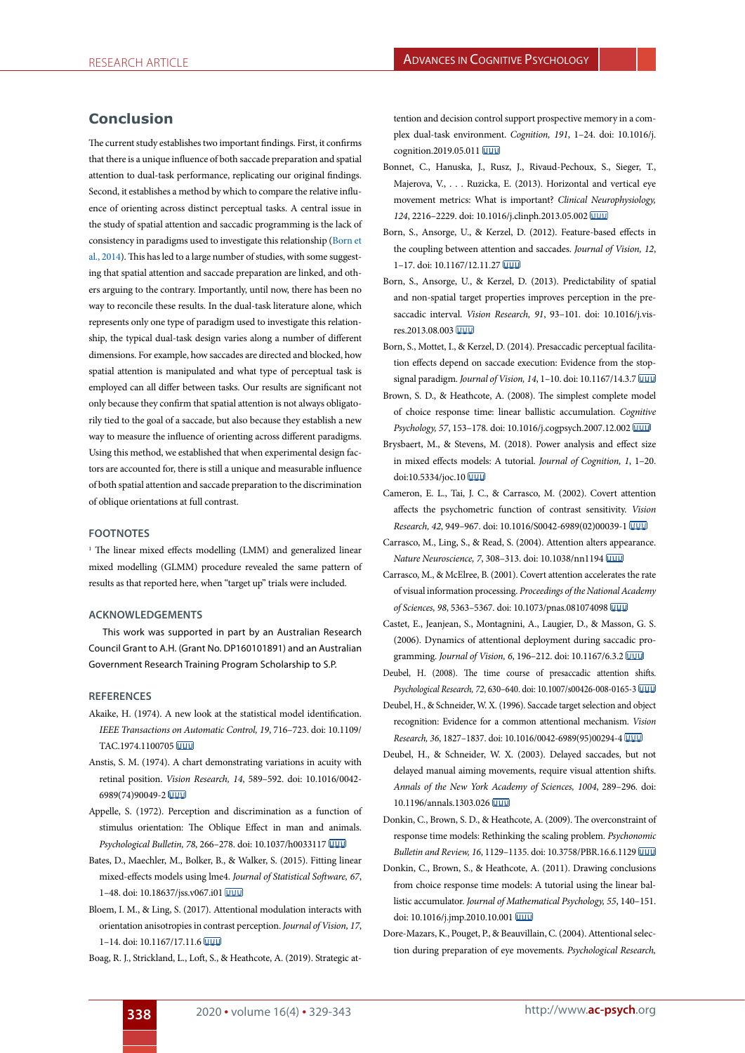# **Conclusion**

The current study establishes two important findings. First, it confirms that there is a unique influence of both saccade preparation and spatial attention to dual-task performance, replicating our original findings. Second, it establishes a method by which to compare the relative influence of orienting across distinct perceptual tasks. A central issue in the study of spatial attention and saccadic programming is the lack of consistency in paradigms used to investigate this relationship ([Born et](#page-9-2) [al., 2014](#page-9-2)). This has led to a large number of studies, with some suggesting that spatial attention and saccade preparation are linked, and others arguing to the contrary. Importantly, until now, there has been no way to reconcile these results. In the dual-task literature alone, which represents only one type of paradigm used to investigate this relationship, the typical dual-task design varies along a number of different dimensions. For example, how saccades are directed and blocked, how spatial attention is manipulated and what type of perceptual task is employed can all differ between tasks. Our results are significant not only because they confirm that spatial attention is not always obligatorily tied to the goal of a saccade, but also because they establish a new way to measure the influence of orienting across different paradigms. Using this method, we established that when experimental design factors are accounted for, there is still a unique and measurable influence of both spatial attention and saccade preparation to the discrimination of oblique orientations at full contrast.

#### **FOOTNOTES**

<sup>1</sup> The linear mixed effects modelling (LMM) and generalized linear mixed modelling (GLMM) procedure revealed the same pattern of results as that reported here, when "target up" trials were included.

#### **ACKNOWLEDGEMENTS**

This work was supported in part by an Australian Research Council Grant to A.H. (Grant No. DP160101891) and an Australian Government Research Training Program Scholarship to S.P.

#### **REFERENCES**

- <span id="page-9-19"></span>Akaike, H. (1974). A new look at the statistical model identification. *IEEE Transactions on Automatic Control, 19*, 716–723. doi: 10.1109/ TAC.1974.1100705
- <span id="page-9-8"></span>Anstis, S. M. (1974). A chart demonstrating variations in acuity with retinal position. *Vision Research, 14*, 589–592. doi: 10.1016/0042- 6989(74)90049-2
- <span id="page-9-13"></span>Appelle, S. (1972). Perception and discrimination as a function of stimulus orientation: The Oblique Effect in man and animals. *Psychological Bulletin, 78*, 266–278. doi: 10.1037/h0033117
- <span id="page-9-18"></span>Bates, D., Maechler, M., Bolker, B., & Walker, S. (2015). Fitting linear mixed-effects models using lme4. *Journal of Statistical Software, 67*, 1–48. doi: 10.18637/jss.v067.i01
- <span id="page-9-14"></span>Bloem, I. M., & Ling, S. (2017). Attentional modulation interacts with orientation anisotropies in contrast perception. *Journal of Vision, 17*, 1–14. doi: 10.1167/17.11.6
- <span id="page-9-16"></span>Boag, R. J., Strickland, L., Loft, S., & Heathcote, A. (2019). Strategic at-

tention and decision control support prospective memory in a complex dual-task environment. *Cognition, 191*, 1–24. doi: 10.1016/j. cognition.2019.05.011 **WWW** 

- <span id="page-9-21"></span>Bonnet, C., Hanuska, J., Rusz, J., Rivaud-Pechoux, S., Sieger, T., Majerova, V., . . . Ruzicka, E. (2013). Horizontal and vertical eye movement metrics: What is important? *Clinical Neurophysiology, 124*, 2216–2229. doi: 10.1016/j.clinph.2013.05.002
- <span id="page-9-7"></span>Born, S., Ansorge, U., & Kerzel, D. (2012). Feature-based effects in the coupling between attention and saccades. *Journal of Vision, 12*, 1–17. doi: 10.1167/12.11.27
- <span id="page-9-4"></span>Born, S., Ansorge, U., & Kerzel, D. (2013). Predictability of spatial and non-spatial target properties improves perception in the presaccadic interval. *Vision Research, 91*, 93–101. doi: 10.1016/j.visres.2013.08.003
- <span id="page-9-2"></span>Born, S., Mottet, I., & Kerzel, D. (2014). Presaccadic perceptual facilitation effects depend on saccade execution: Evidence from the stopsignal paradigm. *Journal of Vision, 14*, 1–10. doi: 10.1167/14.3.7
- <span id="page-9-15"></span>Brown, S. D., & Heathcote, A. (2008). The simplest complete model of choice response time: linear ballistic accumulation. *Cognitive Psychology, 57*, 153–178. doi: 10.1016/j.cogpsych.2007.12.002
- <span id="page-9-17"></span>Brysbaert, M., & Stevens, M. (2018). Power analysis and effect size in mixed effects models: A tutorial. *Journal of Cognition, 1*, 1–20. doi:10.5334/joc.10 UUU
- <span id="page-9-11"></span>Cameron, E. L., Tai, J. C., & Carrasco, M. (2002). Covert attention affects the psychometric function of contrast sensitivity. *Vision Research, 42*, 949–967. doi: 10.1016/S0042-6989(02)00039-1
- <span id="page-9-12"></span>Carrasco, M., Ling, S., & Read, S. (2004). Attention alters appearance. *Nature Neuroscience, 7*, 308–313. doi: 10.1038/nn1194
- <span id="page-9-20"></span>Carrasco, M., & McElree, B. (2001). Covert attention accelerates the rate of visual information processing. *Proceedings of the National Academy of Sciences, 98*, 5363–5367. doi: 10.1073/pnas.081074098
- <span id="page-9-3"></span>Castet, E., Jeanjean, S., Montagnini, A., Laugier, D., & Masson, G. S. (2006). Dynamics of attentional deployment during saccadic programming. *Journal of Vision, 6*, 196–212. doi: 10.1167/6.3.2
- <span id="page-9-5"></span>Deubel, H. (2008). The time course of presaccadic attention shifts. *Psychological Research, 72*, 630–640. doi: 10.1007/s00426-008-0165-3
- <span id="page-9-0"></span>Deubel, H., & Schneider, W. X. (1996). Saccade target selection and object recognition: Evidence for a common attentional mechanism. *Vision Research, 36*, 1827–1837. doi: 10.1016/0042-6989(95)00294-4
- <span id="page-9-1"></span>Deubel, H., & Schneider, W. X. (2003). Delayed saccades, but not delayed manual aiming movements, require visual attention shifts. *Annals of the New York Academy of Sciences, 1004*, 289–296. doi: 10.1196/annals.1303.026
- <span id="page-9-9"></span>Donkin, C., Brown, S. D., & Heathcote, A. (2009). The overconstraint of response time models: Rethinking the scaling problem. *Psychonomic Bulletin and Review, 16*, 1129–1135. doi: 10.3758/PBR.16.6.1129
- <span id="page-9-10"></span>Donkin, C., Brown, S., & Heathcote, A. (2011). Drawing conclusions from choice response time models: A tutorial using the linear ballistic accumulator. *Journal of Mathematical Psychology, 55*, 140–151. doi: 10.1016/j.jmp.2010.10.001
- <span id="page-9-6"></span>Dore-Mazars, K., Pouget, P., & Beauvillain, C. (2004). Attentional selection during preparation of eye movements. *Psychological Research,*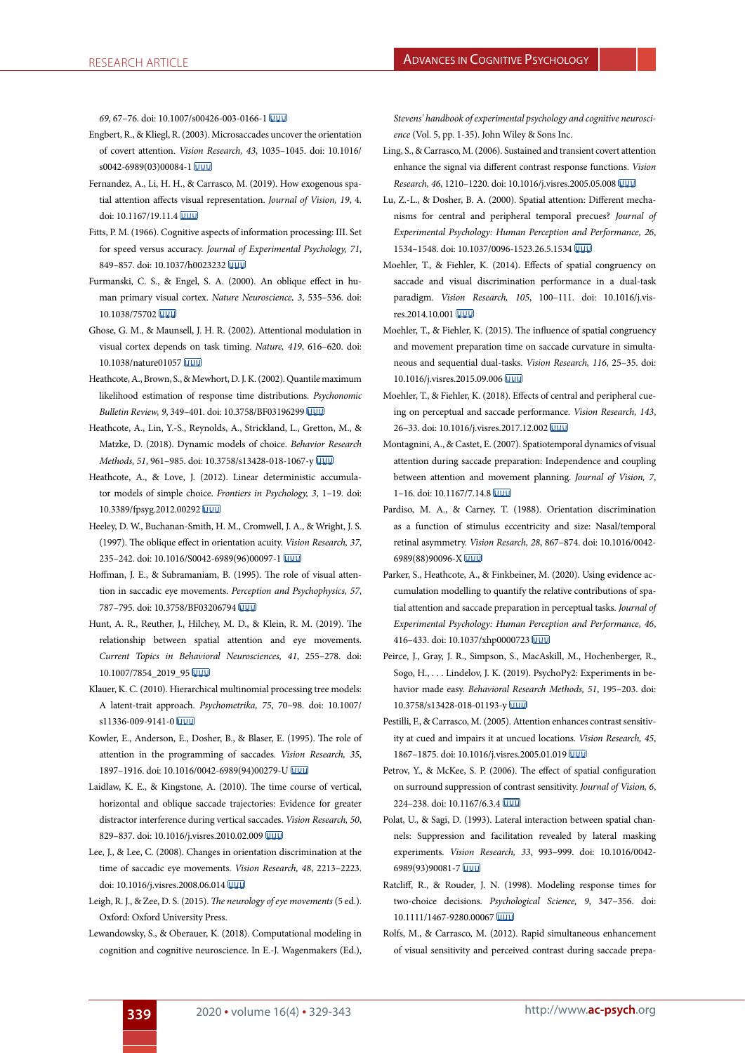*69*, 67–76. doi: 10.1007/s00426-003-0166-1

- <span id="page-10-20"></span>Engbert, R., & Kliegl, R. (2003). Microsaccades uncover the orientation of covert attention. *Vision Research, 43*, 1035–1045. doi: 10.1016/ s0042-6989(03)00084-1
- <span id="page-10-30"></span>Fernandez, A., Li, H. H., & Carrasco, M. (2019). How exogenous spatial attention affects visual representation. *Journal of Vision, 19*, 4. doi: 10.1167/19.11.4
- <span id="page-10-8"></span>Fitts, P. M. (1966). Cognitive aspects of information processing: III. Set for speed versus accuracy. *Journal of Experimental Psychology, 71*, 849–857. doi: 10.1037/h0023232
- <span id="page-10-15"></span>Furmanski, C. S., & Engel, S. A. (2000). An oblique effect in human primary visual cortex. *Nature Neuroscience, 3*, 535–536. doi: 10.1038/75702
- <span id="page-10-19"></span>Ghose, G. M., & Maunsell, J. H. R. (2002). Attentional modulation in visual cortex depends on task timing. *Nature, 419*, 616–620. doi: 10.1038/nature01057
- <span id="page-10-21"></span>Heathcote, A., Brown, S., & Mewhort, D. J. K. (2002). Quantile maximum likelihood estimation of response time distributions. *Psychonomic Bulletin Review, 9*, 349–401. doi: 10.3758/BF03196299
- <span id="page-10-23"></span>Heathcote, A., Lin, Y.-S., Reynolds, A., Strickland, L., Gretton, M., & Matzke, D. (2018). Dynamic models of choice. *Behavior Research Methods, 51*, 961–985. doi: 10.3758/s13428-018-1067-y
- <span id="page-10-22"></span>Heathcote, A., & Love, J. (2012). Linear deterministic accumulator models of simple choice. *Frontiers in Psychology, 3*, 1–19. doi: 10.3389/fpsyg.2012.00292
- <span id="page-10-16"></span>Heeley, D. W., Buchanan-Smith, H. M., Cromwell, J. A., & Wright, J. S. (1997). The oblique effect in orientation acuity. *Vision Research, 37*, 235–242. doi: 10.1016/S0042-6989(96)00097-1
- <span id="page-10-1"></span>Hoffman, J. E., & Subramaniam, B. (1995). The role of visual attention in saccadic eye movements. *Perception and Psychophysics, 57*, 787–795. doi: 10.3758/BF03206794
- <span id="page-10-0"></span>Hunt, A. R., Reuther, J., Hilchey, M. D., & Klein, R. M. (2019). The relationship between spatial attention and eye movements. *Current Topics in Behavioral Neurosciences, 41*, 255–278. doi: 10.1007/7854\_2019\_95
- <span id="page-10-24"></span>Klauer, K. C. (2010). Hierarchical multinomial processing tree models: A latent-trait approach. *Psychometrika, 75*, 70–98. doi: 10.1007/ s11336-009-9141-0 UUU
- <span id="page-10-25"></span>Kowler, E., Anderson, E., Dosher, B., & Blaser, E. (1995). The role of attention in the programming of saccades. *Vision Research, 35*, 1897–1916. doi: 10.1016/0042-6989(94)00279-U
- <span id="page-10-27"></span>Laidlaw, K. E., & Kingstone, A. (2010). The time course of vertical, horizontal and oblique saccade trajectories: Evidence for greater distractor interference during vertical saccades. *Vision Research, 50*, 829–837. doi: 10.1016/j.visres.2010.02.009
- <span id="page-10-17"></span>Lee, J., & Lee, C. (2008). Changes in orientation discrimination at the time of saccadic eye movements. *Vision Research, 48*, 2213–2223. doi: 10.1016/j.visres.2008.06.014
- <span id="page-10-26"></span>Leigh, R. J., & Zee, D. S. (2015). *The neurology of eye movements* (5 ed.). Oxford: Oxford University Press.
- <span id="page-10-10"></span>Lewandowsky, S., & Oberauer, K. (2018). Computational modeling in cognition and cognitive neuroscience. In E.-J. Wagenmakers (Ed.),

*Stevens' handbook of experimental psychology and cognitive neuroscience* (Vol. 5, pp. 1-35). John Wiley & Sons Inc.

- <span id="page-10-11"></span>Ling, S., & Carrasco, M. (2006). Sustained and transient covert attention enhance the signal via different contrast response functions. *Vision Research, 46*, 1210–1220. doi: 10.1016/j.visres.2005.05.008
- <span id="page-10-12"></span>Lu, Z.-L., & Dosher, B. A. (2000). Spatial attention: Different mechanisms for central and peripheral temporal precues? *Journal of Experimental Psychology: Human Perception and Performance, 26*, 1534–1548. doi: 10.1037/0096-1523.26.5.1534
- <span id="page-10-2"></span>Moehler, T., & Fiehler, K. (2014). Effects of spatial congruency on saccade and visual discrimination performance in a dual-task paradigm. *Vision Research, 105*, 100–111. doi: 10.1016/j.visres.2014.10.001
- <span id="page-10-3"></span>Moehler, T., & Fiehler, K. (2015). The influence of spatial congruency and movement preparation time on saccade curvature in simultaneous and sequential dual-tasks. *Vision Research, 116*, 25–35. doi: 10.1016/j.visres.2015.09.006
- <span id="page-10-6"></span>Moehler, T., & Fiehler, K. (2018). Effects of central and peripheral cueing on perceptual and saccade performance. *Vision Research, 143*, 26–33. doi: 10.1016/j.visres.2017.12.002
- <span id="page-10-4"></span>Montagnini, A., & Castet, E. (2007). Spatiotemporal dynamics of visual attention during saccade preparation: Independence and coupling between attention and movement planning. *Journal of Vision, 7*, 1–16. doi: 10.1167/7.14.8
- <span id="page-10-7"></span>Pardiso, M. A., & Carney, T. (1988). Orientation discrimination as a function of stimulus eccentricity and size: Nasal/temporal retinal asymmetry. *Vision Resarch, 28*, 867–874. doi: 10.1016/0042- 6989(88)90096-X
- <span id="page-10-5"></span>Parker, S., Heathcote, A., & Finkbeiner, M. (2020). Using evidence accumulation modelling to quantify the relative contributions of spatial attention and saccade preparation in perceptual tasks. *Journal of Experimental Psychology: Human Perception and Performance, 46*, 416–433. doi: 10.1037/xhp0000723
- <span id="page-10-18"></span>Peirce, J., Gray, J. R., Simpson, S., MacAskill, M., Hochenberger, R., Sogo, H., . . . Lindelov, J. K. (2019). PsychoPy2: Experiments in behavior made easy. *Behavioral Research Methods, 51*, 195–203. doi: 10.3758/s13428-018-01193-y
- <span id="page-10-13"></span>Pestilli, F., & Carrasco, M. (2005). Attention enhances contrast sensitivity at cued and impairs it at uncued locations. *Vision Research, 45*, 1867–1875. doi: 10.1016/j.visres.2005.01.019
- <span id="page-10-28"></span>Petrov, Y., & McKee, S. P. (2006). The effect of spatial configuration on surround suppression of contrast sensitivity. *Journal of Vision, 6*, 224–238. doi: 10.1167/6.3.4
- <span id="page-10-29"></span>Polat, U., & Sagi, D. (1993). Lateral interaction between spatial channels: Suppression and facilitation revealed by lateral masking experiments. *Vision Research, 33*, 993–999. doi: 10.1016/0042- 6989(93)90081-7
- <span id="page-10-9"></span>Ratcliff, R., & Rouder, J. N. (1998). Modeling response times for two-choice decisions. *Psychological Science, 9*, 347–356. doi: 10.1111/1467-9280.00067
- <span id="page-10-14"></span>Rolfs, M., & Carrasco, M. (2012). Rapid simultaneous enhancement of visual sensitivity and perceived contrast during saccade prepa-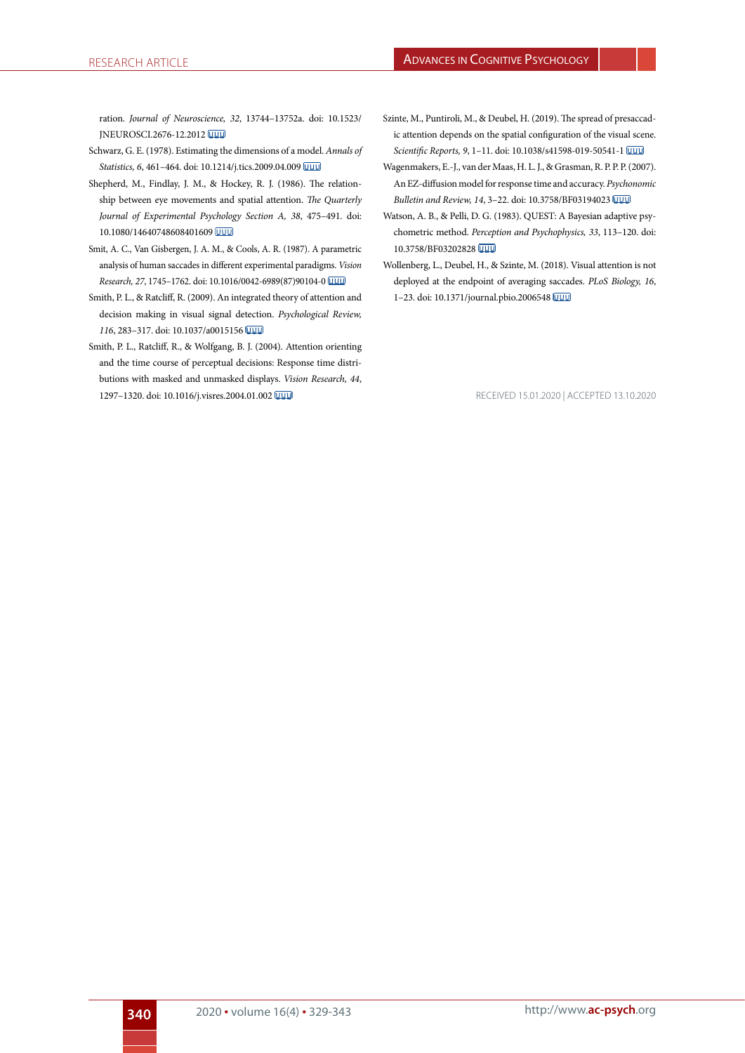ration. *Journal of Neuroscience, 32*, 13744–13752a. doi: 10.1523/ JNEUROSCI.2676-12.2012

- <span id="page-11-5"></span>Schwarz, G. E. (1978). Estimating the dimensions of a model. *Annals of Statistics, 6*, 461–464. doi: 10.1214/j.tics.2009.04.009
- <span id="page-11-0"></span>Shepherd, M., Findlay, J. M., & Hockey, R. J. (1986). The relationship between eye movements and spatial attention. *The Quarterly Journal of Experimental Psychology Section A, 38*, 475–491. doi: 10.1080/14640748608401609
- <span id="page-11-8"></span>Smit, A. C., Van Gisbergen, J. A. M., & Cools, A. R. (1987). A parametric analysis of human saccades in different experimental paradigms. *Vision Research, 27*, 1745–1762. doi: 10.1016/0042-6989(87)90104-0
- <span id="page-11-6"></span>Smith, P. L., & Ratcliff, R. (2009). An integrated theory of attention and decision making in visual signal detection. *Psychological Review, 116*, 283–317. doi: 10.1037/a0015156
- <span id="page-11-7"></span>Smith, P. L., Ratcliff, R., & Wolfgang, B. J. (2004). Attention orienting and the time course of perceptual decisions: Response time distributions with masked and unmasked displays. *Vision Research, 44*, 1297–1320. doi: 10.1016/j.visres.2004.01.002
- <span id="page-11-2"></span>Szinte, M., Puntiroli, M., & Deubel, H. (2019). The spread of presaccadic attention depends on the spatial configuration of the visual scene. *Scientific Reports, 9*, 1–11. doi: 10.1038/s41598-019-50541-1
- <span id="page-11-1"></span>Wagenmakers, E.-J., van der Maas, H. L. J., & Grasman, R. P. P. P. (2007). An EZ-diffusion model for response time and accuracy. *Psychonomic Bulletin and Review, 14*, 3–22. doi: 10.3758/BF03194023
- <span id="page-11-4"></span>Watson, A. B., & Pelli, D. G. (1983). QUEST: A Bayesian adaptive psychometric method. *Perception and Psychophysics, 33*, 113–120. doi: 10.3758/BF03202828
- <span id="page-11-3"></span>Wollenberg, L., Deubel, H., & Szinte, M. (2018). Visual attention is not deployed at the endpoint of averaging saccades. *PLoS Biology, 16*, 1–23. doi: 10.1371/journal.pbio.2006548

RECEIVED 15.01.2020 | ACCEPTED 13.10.2020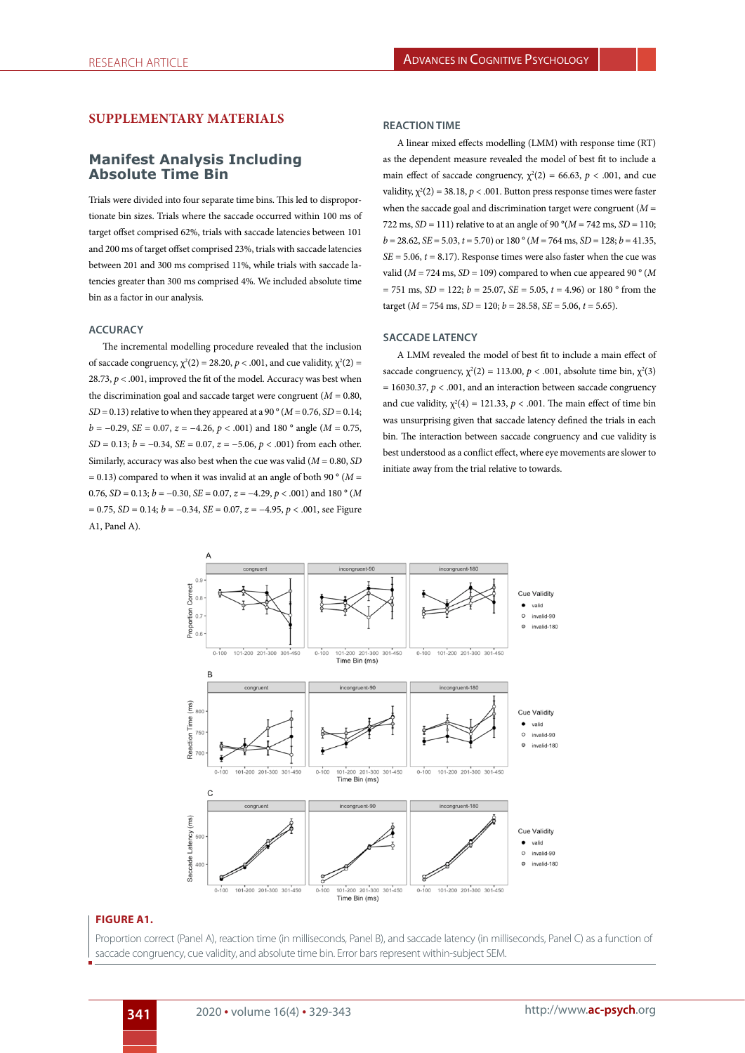## **SUPPLEMENTARY MATERIALS**

# **Manifest Analysis Including Absolute Time Bin**

Trials were divided into four separate time bins. This led to disproportionate bin sizes. Trials where the saccade occurred within 100 ms of target offset comprised 62%, trials with saccade latencies between 101 and 200 ms of target offset comprised 23%, trials with saccade latencies between 201 and 300 ms comprised 11%, while trials with saccade latencies greater than 300 ms comprised 4%. We included absolute time bin as a factor in our analysis.

#### **ACCURACY**

The incremental modelling procedure revealed that the inclusion of saccade congruency,  $\chi^2(2) = 28.20$ ,  $p < .001$ , and cue validity,  $\chi^2(2) =$ 28.73,  $p < .001$ , improved the fit of the model. Accuracy was best when the discrimination goal and saccade target were congruent  $(M = 0.80,$ *SD* = 0.13) relative to when they appeared at a 90  $\degree$  (*M* = 0.76, *SD* = 0.14; *b* = −0.29, *SE* = 0.07, *z* = −4.26, *p* < .001) and 180 ° angle (*M* = 0.75, *SD* = 0.13; *b* = −0.34, *SE* = 0.07, *z* = −5.06, *p* < .001) from each other. Similarly, accuracy was also best when the cue was valid (*M* = 0.80, *SD*  $= 0.13$ ) compared to when it was invalid at an angle of both 90 ° ( $M =$ 0.76, *SD* = 0.13; *b* = −0.30, *SE* = 0.07, *z* = −4.29, *p* < .001) and 180 ° (*M* = 0.75, *SD* = 0.14; *b* = −0.34, *SE* = 0.07, *z* = −4.95, *p* < .001, see Figure A1, Panel A).

#### **REACTION TIME**

A linear mixed effects modelling (LMM) with response time (RT) as the dependent measure revealed the model of best fit to include a main effect of saccade congruency,  $\chi^2(2) = 66.63$ ,  $p < .001$ , and cue validity,  $\chi^2(2) = 38.18$ ,  $p < .001$ . Button press response times were faster when the saccade goal and discrimination target were congruent (*M* = 722 ms, *SD* = 111) relative to at an angle of 90 °( $M = 742$  ms, *SD* = 110;  $b = 28.62$ , *SE* = 5.03,  $t = 5.70$ ) or 180 ° ( $M = 764$  ms, *SD* = 128;  $b = 41.35$ ,  $SE = 5.06$ ,  $t = 8.17$ ). Response times were also faster when the cue was valid ( $M = 724$  ms,  $SD = 109$ ) compared to when cue appeared 90 ° ( $M$  $= 751$  ms, *SD* = 122; *b* = 25.07, *SE* = 5.05, *t* = 4.96) or 180 ° from the target ( $M = 754$  ms,  $SD = 120$ ;  $b = 28.58$ ,  $SE = 5.06$ ,  $t = 5.65$ ).

## **SACCADE LATENCY**

A LMM revealed the model of best fit to include a main effect of saccade congruency,  $\chi^2(2) = 113.00$ ,  $p < .001$ , absolute time bin,  $\chi^2(3)$  $= 16030.37$ ,  $p < .001$ , and an interaction between saccade congruency and cue validity,  $\chi^2(4) = 121.33$ ,  $p < .001$ . The main effect of time bin was unsurprising given that saccade latency defined the trials in each bin. The interaction between saccade congruency and cue validity is best understood as a conflict effect, where eye movements are slower to initiate away from the trial relative to towards.



#### **FIGURE A1.**

Proportion correct (Panel A), reaction time (in milliseconds, Panel B), and saccade latency (in milliseconds, Panel C) as a function of saccade congruency, cue validity, and absolute time bin. Error bars represent within-subject SEM.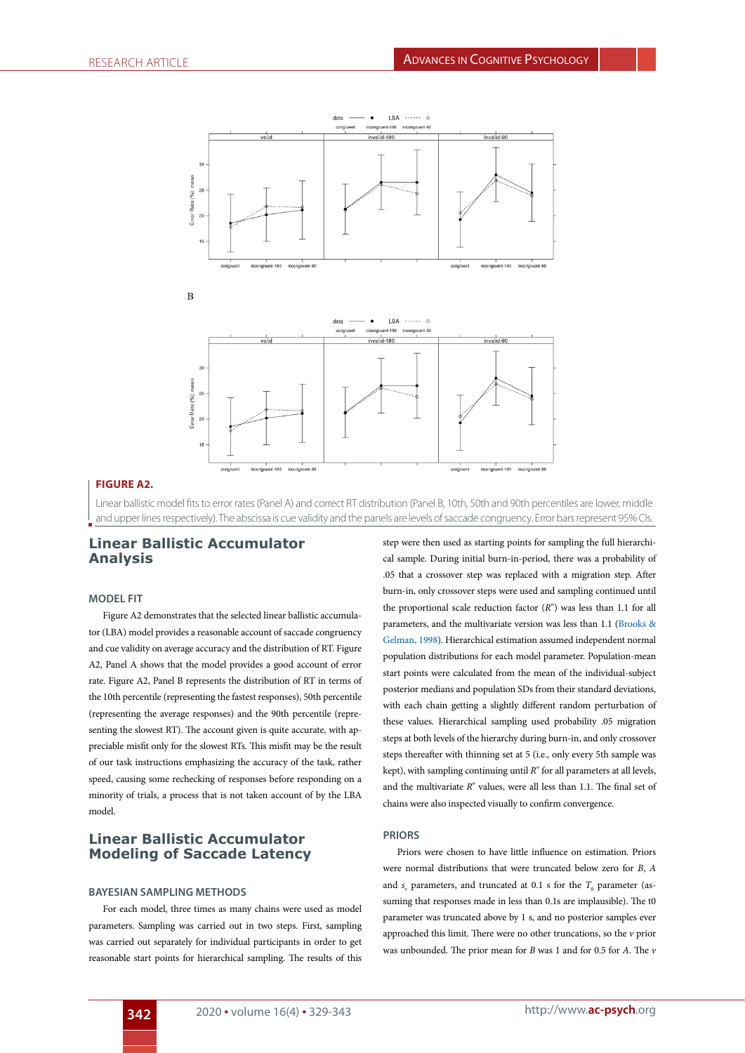

## **FIGURE A2.**

Linear ballistic model fits to error rates (Panel A) and correct RT distribution (Panel B, 10th, 50th and 90th percentiles are lower, middle and upper lines respectively). The abscissa is cue validity and the panels are levels of saccade congruency. Error bars represent 95% CIs.

# **Linear Ballistic Accumulator Analysis**

.<br>:ent-180

ient-96

#### **MODEL FIT**

Figure A2 demonstrates that the selected linear ballistic accumulator (LBA) model provides a reasonable account of saccade congruency and cue validity on average accuracy and the distribution of RT. Figure A2, Panel A shows that the model provides a good account of error rate. Figure A2, Panel B represents the distribution of RT in terms of the 10th percentile (representing the fastest responses), 50th percentile (representing the average responses) and the 90th percentile (representing the slowest RT). The account given is quite accurate, with appreciable misfit only for the slowest RTs. This misfit may be the result of our task instructions emphasizing the accuracy of the task, rather speed, causing some rechecking of responses before responding on a minority of trials, a process that is not taken account of by the LBA model.

# **Linear Ballistic Accumulator Modeling of Saccade Latency**

#### **BAYESIAN SAMPLING METHODS**

For each model, three times as many chains were used as model parameters. Sampling was carried out in two steps. First, sampling was carried out separately for individual participants in order to get reasonable start points for hierarchical sampling. The results of this step were then used as starting points for sampling the full hierarchical sample. During initial burn-in-period, there was a probability of .05 that a crossover step was replaced with a migration step. After burn-in, only crossover steps were used and sampling continued until the proportional scale reduction factor (*R*") was less than 1.1 for all parameters, and the multivariate version was less than 1.1 [\(Brooks &](#page-14-0) [Gelman, 1998\)](#page-14-0). Hierarchical estimation assumed independent normal population distributions for each model parameter. Population-mean start points were calculated from the mean of the individual-subject posterior medians and population SDs from their standard deviations, with each chain getting a slightly different random perturbation of these values. Hierarchical sampling used probability .05 migration steps at both levels of the hierarchy during burn-in, and only crossover steps thereafter with thinning set at 5 (i.e., only every 5th sample was kept), with sampling continuing until *R*" for all parameters at all levels, and the multivariate *R*" values, were all less than 1.1. The final set of chains were also inspected visually to confirm convergence.

 $08t-100$ 

incong

#### **PRIORS**

Priors were chosen to have little influence on estimation. Priors were normal distributions that were truncated below zero for *B*, *A* and  $s_{\rm v}$  parameters, and truncated at 0.1 s for the  $T_{\rm o}$  parameter (assuming that responses made in less than 0.1s are implausible). The t0 parameter was truncated above by 1 s, and no posterior samples ever approached this limit. There were no other truncations, so the *v* prior was unbounded. The prior mean for *B* was 1 and for 0.5 for *A*. The *v*